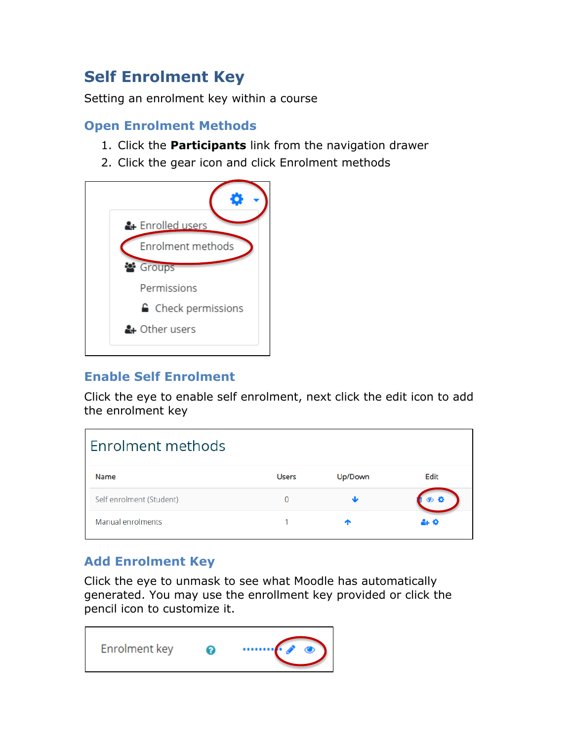# **Self Enrolment Key**

Setting an enrolment key within a course

### **Open Enrolment Methods**

- 1. Click the **Participants** link from the navigation drawer
- 2. Click the gear icon and click Enrolment methods



# **Enable Self Enrolment**

Click the eye to enable self enrolment, next click the edit icon to add the enrolment key

| Enrolment methods        |              |         |      |
|--------------------------|--------------|---------|------|
| Name                     | <b>Users</b> | Up/Down | Edit |
| Self enrolment (Student) | 0            | مك      | る む  |
| Manual enrolments        |              |         | ዹ፟   |

# **Add Enrolment Key**

Click the eye to unmask to see what Moodle has automatically generated. You may use the enrollment key provided or click the pencil icon to customize it.